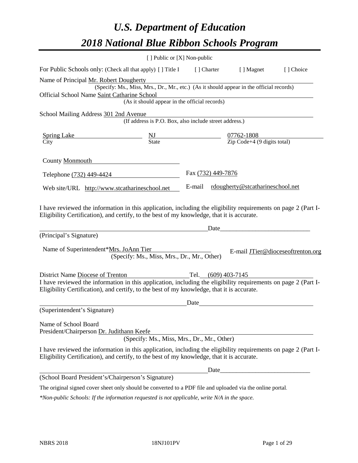# *U.S. Department of Education 2018 National Blue Ribbon Schools Program*

|                                                                                                                                                                                                              | [ ] Public or [X] Non-public                                                             |                     |                                  |                                   |
|--------------------------------------------------------------------------------------------------------------------------------------------------------------------------------------------------------------|------------------------------------------------------------------------------------------|---------------------|----------------------------------|-----------------------------------|
| For Public Schools only: (Check all that apply) [ ] Title I                                                                                                                                                  |                                                                                          |                     | [] Charter [] Magnet             | [] Choice                         |
| Name of Principal Mr. Robert Dougherty                                                                                                                                                                       |                                                                                          |                     |                                  |                                   |
|                                                                                                                                                                                                              | (Specify: Ms., Miss, Mrs., Dr., Mr., etc.) (As it should appear in the official records) |                     |                                  |                                   |
| Official School Name Saint Catharine School                                                                                                                                                                  |                                                                                          |                     |                                  |                                   |
|                                                                                                                                                                                                              | (As it should appear in the official records)                                            |                     |                                  |                                   |
| School Mailing Address 301 2nd Avenue                                                                                                                                                                        |                                                                                          |                     |                                  |                                   |
|                                                                                                                                                                                                              | (If address is P.O. Box, also include street address.)                                   |                     |                                  |                                   |
| $\frac{\text{Spring Lake}}{\text{City}}$ $\frac{\text{NJ}}{\text{State}}$ $\frac{07762-1808}{\text{Zip Code}+4 (9 digits total)}$                                                                            |                                                                                          |                     |                                  |                                   |
|                                                                                                                                                                                                              |                                                                                          |                     |                                  |                                   |
| County Monmouth                                                                                                                                                                                              |                                                                                          |                     |                                  |                                   |
| Telephone (732) 449-4424                                                                                                                                                                                     |                                                                                          | Fax (732) 449-7876  |                                  |                                   |
| Web site/URL http://www.stcatharineschool.net                                                                                                                                                                |                                                                                          | E-mail              | rdougherty@stcatharineschool.net |                                   |
| (Principal's Signature)<br>Name of Superintendent*Mrs. JoAnn Tier                                                                                                                                            | (Specify: Ms., Miss, Mrs., Dr., Mr., Other)                                              | Date                |                                  | E-mail JTier@dioceseoftrenton.org |
| District Name Diocese of Trenton                                                                                                                                                                             |                                                                                          | Tel. (609) 403-7145 |                                  |                                   |
| I have reviewed the information in this application, including the eligibility requirements on page 2 (Part I-<br>Eligibility Certification), and certify, to the best of my knowledge, that it is accurate. |                                                                                          |                     |                                  |                                   |
|                                                                                                                                                                                                              |                                                                                          | Date                |                                  |                                   |
| (Superintendent's Signature)                                                                                                                                                                                 |                                                                                          |                     |                                  |                                   |
| Name of School Board<br>President/Chairperson Dr. Judithann Keefe                                                                                                                                            | (Specify: Ms., Miss, Mrs., Dr., Mr., Other)                                              |                     |                                  |                                   |
| I have reviewed the information in this application, including the eligibility requirements on page 2 (Part I-<br>Eligibility Certification), and certify, to the best of my knowledge, that it is accurate. |                                                                                          |                     |                                  |                                   |
|                                                                                                                                                                                                              |                                                                                          |                     |                                  |                                   |
| (School Board President's/Chairperson's Signature)                                                                                                                                                           |                                                                                          |                     |                                  |                                   |
| The original signed cover sheet only should be converted to a PDF file and uploaded via the online portal.                                                                                                   |                                                                                          |                     |                                  |                                   |

*\*Non-public Schools: If the information requested is not applicable, write N/A in the space.*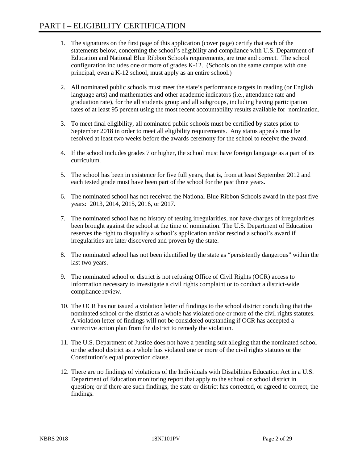- 1. The signatures on the first page of this application (cover page) certify that each of the statements below, concerning the school's eligibility and compliance with U.S. Department of Education and National Blue Ribbon Schools requirements, are true and correct. The school configuration includes one or more of grades K-12. (Schools on the same campus with one principal, even a K-12 school, must apply as an entire school.)
- 2. All nominated public schools must meet the state's performance targets in reading (or English language arts) and mathematics and other academic indicators (i.e., attendance rate and graduation rate), for the all students group and all subgroups, including having participation rates of at least 95 percent using the most recent accountability results available for nomination.
- 3. To meet final eligibility, all nominated public schools must be certified by states prior to September 2018 in order to meet all eligibility requirements. Any status appeals must be resolved at least two weeks before the awards ceremony for the school to receive the award.
- 4. If the school includes grades 7 or higher, the school must have foreign language as a part of its curriculum.
- 5. The school has been in existence for five full years, that is, from at least September 2012 and each tested grade must have been part of the school for the past three years.
- 6. The nominated school has not received the National Blue Ribbon Schools award in the past five years: 2013, 2014, 2015, 2016, or 2017.
- 7. The nominated school has no history of testing irregularities, nor have charges of irregularities been brought against the school at the time of nomination. The U.S. Department of Education reserves the right to disqualify a school's application and/or rescind a school's award if irregularities are later discovered and proven by the state.
- 8. The nominated school has not been identified by the state as "persistently dangerous" within the last two years.
- 9. The nominated school or district is not refusing Office of Civil Rights (OCR) access to information necessary to investigate a civil rights complaint or to conduct a district-wide compliance review.
- 10. The OCR has not issued a violation letter of findings to the school district concluding that the nominated school or the district as a whole has violated one or more of the civil rights statutes. A violation letter of findings will not be considered outstanding if OCR has accepted a corrective action plan from the district to remedy the violation.
- 11. The U.S. Department of Justice does not have a pending suit alleging that the nominated school or the school district as a whole has violated one or more of the civil rights statutes or the Constitution's equal protection clause.
- 12. There are no findings of violations of the Individuals with Disabilities Education Act in a U.S. Department of Education monitoring report that apply to the school or school district in question; or if there are such findings, the state or district has corrected, or agreed to correct, the findings.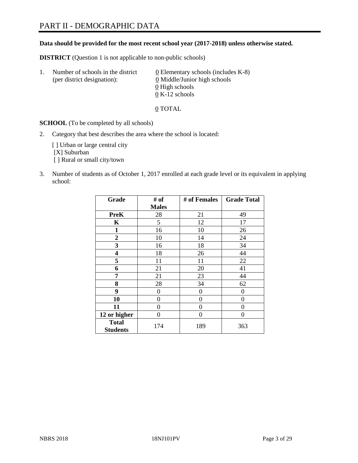# PART II - DEMOGRAPHIC DATA

#### **Data should be provided for the most recent school year (2017-2018) unless otherwise stated.**

**DISTRICT** (Question 1 is not applicable to non-public schools)

| $\mathbf{L}$ | Number of schools in the district<br>(per district designation): | 0 Elementary schools (includes K-8)<br>0 Middle/Junior high schools<br>0 High schools |
|--------------|------------------------------------------------------------------|---------------------------------------------------------------------------------------|
|              |                                                                  | $0 K-12$ schools                                                                      |

0 TOTAL

**SCHOOL** (To be completed by all schools)

2. Category that best describes the area where the school is located:

[] Urban or large central city [X] Suburban [ ] Rural or small city/town

3. Number of students as of October 1, 2017 enrolled at each grade level or its equivalent in applying school:

| Grade                           | # of           | # of Females | <b>Grade Total</b> |
|---------------------------------|----------------|--------------|--------------------|
|                                 | <b>Males</b>   |              |                    |
| <b>PreK</b>                     | 28             | 21           | 49                 |
| K                               | 5              | 12           | 17                 |
| $\mathbf{1}$                    | 16             | 10           | 26                 |
| 2                               | 10             | 14           | 24                 |
| 3                               | 16             | 18           | 34                 |
| 4                               | 18             | 26           | 44                 |
| 5                               | 11             | 11           | 22                 |
| 6                               | 21             | 20           | 41                 |
| 7                               | 21             | 23           | 44                 |
| 8                               | 28             | 34           | 62                 |
| 9                               | $\overline{0}$ | 0            | 0                  |
| 10                              | $\overline{0}$ | 0            | 0                  |
| 11                              | 0              | 0            | 0                  |
| 12 or higher                    | 0              | 0            | 0                  |
| <b>Total</b><br><b>Students</b> | 174            | 189          | 363                |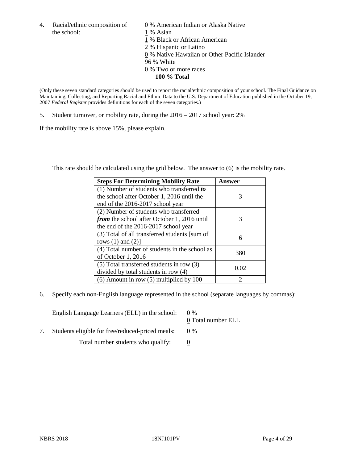4. Racial/ethnic composition of  $\qquad 0\%$  American Indian or Alaska Native the school: 1 % Asian

 % Black or African American % Hispanic or Latino % Native Hawaiian or Other Pacific Islander 96 % White % Two or more races **100 % Total**

(Only these seven standard categories should be used to report the racial/ethnic composition of your school. The Final Guidance on Maintaining, Collecting, and Reporting Racial and Ethnic Data to the U.S. Department of Education published in the October 19, 2007 *Federal Register* provides definitions for each of the seven categories.)

5. Student turnover, or mobility rate, during the  $2016 - 2017$  school year:  $2\%$ 

If the mobility rate is above 15%, please explain.

This rate should be calculated using the grid below. The answer to (6) is the mobility rate.

| <b>Steps For Determining Mobility Rate</b>         | Answer                      |
|----------------------------------------------------|-----------------------------|
| $(1)$ Number of students who transferred to        |                             |
| the school after October 1, 2016 until the         | 3                           |
| end of the 2016-2017 school year                   |                             |
| (2) Number of students who transferred             |                             |
| <i>from</i> the school after October 1, 2016 until | 3                           |
| the end of the 2016-2017 school year               |                             |
| (3) Total of all transferred students [sum of      | 6                           |
| rows $(1)$ and $(2)$ ]                             |                             |
| (4) Total number of students in the school as      | 380                         |
| of October 1, 2016                                 |                             |
| (5) Total transferred students in row (3)          | 0.02                        |
| divided by total students in row (4)               |                             |
| $(6)$ Amount in row $(5)$ multiplied by 100        | $\mathcal{D}_{\mathcal{A}}$ |

6. Specify each non-English language represented in the school (separate languages by commas):

| English Language Learners (ELL) in the school:   | $0\%$<br>0 Total number ELL |
|--------------------------------------------------|-----------------------------|
| Students eligible for free/reduced-priced meals: | $0\%$                       |
| Total number students who qualify:               |                             |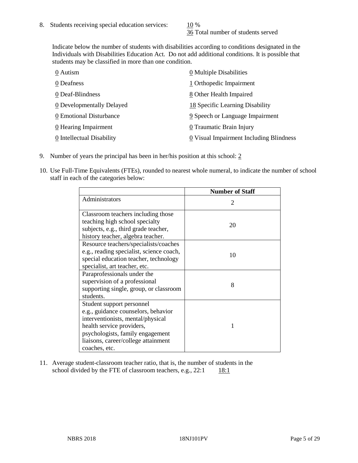36 Total number of students served

Indicate below the number of students with disabilities according to conditions designated in the Individuals with Disabilities Education Act. Do not add additional conditions. It is possible that students may be classified in more than one condition.

| 0 Autism                  | $\underline{0}$ Multiple Disabilities   |
|---------------------------|-----------------------------------------|
| 0 Deafness                | 1 Orthopedic Impairment                 |
| 0 Deaf-Blindness          | 8 Other Health Impaired                 |
| 0 Developmentally Delayed | 18 Specific Learning Disability         |
| 0 Emotional Disturbance   | 9 Speech or Language Impairment         |
| 0 Hearing Impairment      | 0 Traumatic Brain Injury                |
| 0 Intellectual Disability | 0 Visual Impairment Including Blindness |

- 9. Number of years the principal has been in her/his position at this school: 2
- 10. Use Full-Time Equivalents (FTEs), rounded to nearest whole numeral, to indicate the number of school staff in each of the categories below:

|                                                                                                                                                                                                                                | <b>Number of Staff</b>      |
|--------------------------------------------------------------------------------------------------------------------------------------------------------------------------------------------------------------------------------|-----------------------------|
| Administrators                                                                                                                                                                                                                 | $\mathcal{D}_{\mathcal{A}}$ |
| Classroom teachers including those<br>teaching high school specialty<br>subjects, e.g., third grade teacher,<br>history teacher, algebra teacher.                                                                              | 20                          |
| Resource teachers/specialists/coaches<br>e.g., reading specialist, science coach,<br>special education teacher, technology<br>specialist, art teacher, etc.                                                                    | 10                          |
| Paraprofessionals under the<br>supervision of a professional<br>supporting single, group, or classroom<br>students.                                                                                                            | 8                           |
| Student support personnel<br>e.g., guidance counselors, behavior<br>interventionists, mental/physical<br>health service providers,<br>psychologists, family engagement<br>liaisons, career/college attainment<br>coaches, etc. |                             |

11. Average student-classroom teacher ratio, that is, the number of students in the school divided by the FTE of classroom teachers, e.g.,  $22:1$  18:1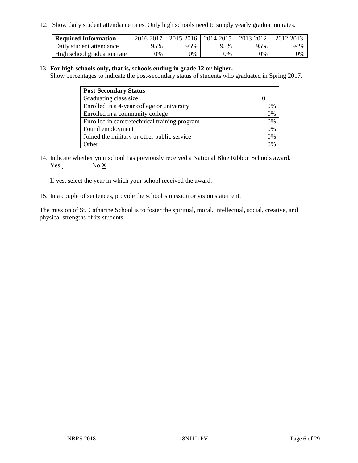12. Show daily student attendance rates. Only high schools need to supply yearly graduation rates.

| <b>Required Information</b> | 2016-2017 | 2015-2016 1 | $12014 - 2015$ | 2013-2012 | 2012-2013 |
|-----------------------------|-----------|-------------|----------------|-----------|-----------|
| Daily student attendance    | 95%       | 95%         | 95%            | 95%       | 94%       |
| High school graduation rate | 0%        | 0%          | 0%             | 9%        | 0%        |

#### 13. **For high schools only, that is, schools ending in grade 12 or higher.**

Show percentages to indicate the post-secondary status of students who graduated in Spring 2017.

| <b>Post-Secondary Status</b>                  |    |
|-----------------------------------------------|----|
| Graduating class size                         |    |
| Enrolled in a 4-year college or university    | በ% |
| Enrolled in a community college               | 0% |
| Enrolled in career/technical training program | 0% |
| Found employment                              | 0% |
| Joined the military or other public service   | 0% |
| Other                                         |    |

14. Indicate whether your school has previously received a National Blue Ribbon Schools award. Yes No X

If yes, select the year in which your school received the award.

15. In a couple of sentences, provide the school's mission or vision statement.

The mission of St. Catharine School is to foster the spiritual, moral, intellectual, social, creative, and physical strengths of its students.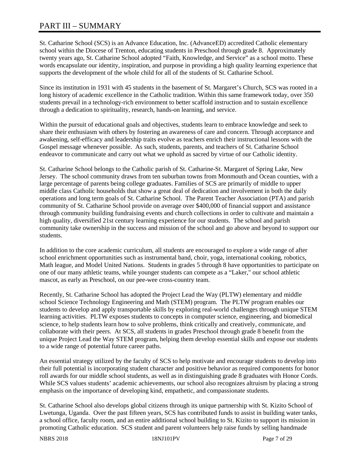St. Catharine School (SCS) is an Advance Education, Inc. (AdvanceED) accredited Catholic elementary school within the Diocese of Trenton, educating students in Preschool through grade 8. Approximately twenty years ago, St. Catharine School adopted "Faith, Knowledge, and Service" as a school motto. These words encapsulate our identity, inspiration, and purpose in providing a high quality learning experience that supports the development of the whole child for all of the students of St. Catharine School.

Since its institution in 1931 with 45 students in the basement of St. Margaret's Church, SCS was rooted in a long history of academic excellence in the Catholic tradition. Within this same framework today, over 350 students prevail in a technology-rich environment to better scaffold instruction and to sustain excellence through a dedication to spirituality, research, hands-on learning, and service.

Within the pursuit of educational goals and objectives, students learn to embrace knowledge and seek to share their enthusiasm with others by fostering an awareness of care and concern. Through acceptance and awakening, self-efficacy and leadership traits evolve as teachers enrich their instructional lessons with the Gospel message whenever possible. As such, students, parents, and teachers of St. Catharine School endeavor to communicate and carry out what we uphold as sacred by virtue of our Catholic identity.

St. Catharine School belongs to the Catholic parish of St. Catharine-St. Margaret of Spring Lake, New Jersey. The school community draws from ten suburban towns from Monmouth and Ocean counties, with a large percentage of parents being college graduates. Families of SCS are primarily of middle to upper middle class Catholic households that show a great deal of dedication and involvement in both the daily operations and long term goals of St. Catharine School. The Parent Teacher Association (PTA) and parish community of St. Catharine School provide on average over \$400,000 of financial support and assistance through community building fundraising events and church collections in order to cultivate and maintain a high quality, diversified 21st century learning experience for our students. The school and parish community take ownership in the success and mission of the school and go above and beyond to support our students.

In addition to the core academic curriculum, all students are encouraged to explore a wide range of after school enrichment opportunities such as instrumental band, choir, yoga, international cooking, robotics, Math league, and Model United Nations. Students in grades 5 through 8 have opportunities to participate on one of our many athletic teams, while younger students can compete as a "Laker," our school athletic mascot, as early as Preschool, on our pee-wee cross-country team.

Recently, St. Catharine School has adopted the Project Lead the Way (PLTW) elementary and middle school Science Technology Engineering and Math (STEM) program. The PLTW program enables our students to develop and apply transportable skills by exploring real-world challenges through unique STEM learning activities. PLTW exposes students to concepts in computer science, engineering, and biomedical science, to help students learn how to solve problems, think critically and creatively, communicate, and collaborate with their peers. At SCS, all students in grades Preschool through grade 8 benefit from the unique Project Lead the Way STEM program, helping them develop essential skills and expose our students to a wide range of potential future career paths.

An essential strategy utilized by the faculty of SCS to help motivate and encourage students to develop into their full potential is incorporating student character and positive behavior as required components for honor roll awards for our middle school students, as well as in distinguishing grade 8 graduates with Honor Cords. While SCS values students' academic achievements, our school also recognizes altruism by placing a strong emphasis on the importance of developing kind, empathetic, and compassionate students.

St. Catharine School also develops global citizens through its unique partnership with St. Kizito School of Lwetunga, Uganda. Over the past fifteen years, SCS has contributed funds to assist in building water tanks, a school office, faculty room, and an entire additional school building to St. Kizito to support its mission in promoting Catholic education. SCS student and parent volunteers help raise funds by selling handmade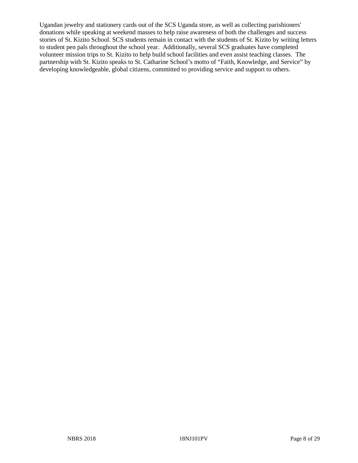Ugandan jewelry and stationery cards out of the SCS Uganda store, as well as collecting parishioners' donations while speaking at weekend masses to help raise awareness of both the challenges and success stories of St. Kizito School. SCS students remain in contact with the students of St. Kizito by writing letters to student pen pals throughout the school year. Additionally, several SCS graduates have completed volunteer mission trips to St. Kizito to help build school facilities and even assist teaching classes. The partnership with St. Kizito speaks to St. Catharine School's motto of "Faith, Knowledge, and Service" by developing knowledgeable, global citizens, committed to providing service and support to others.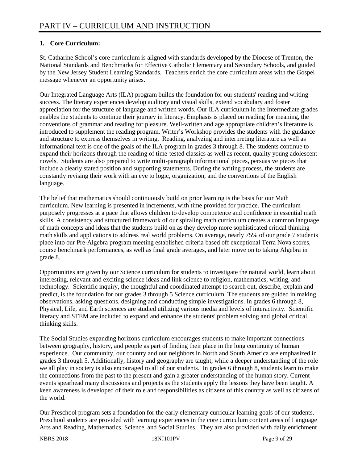## **1. Core Curriculum:**

St. Catharine School's core curriculum is aligned with standards developed by the Diocese of Trenton, the National Standards and Benchmarks for Effective Catholic Elementary and Secondary Schools, and guided by the New Jersey Student Learning Standards. Teachers enrich the core curriculum areas with the Gospel message whenever an opportunity arises.

Our Integrated Language Arts (ILA) program builds the foundation for our students' reading and writing success. The literary experiences develop auditory and visual skills, extend vocabulary and foster appreciation for the structure of language and written words. Our ILA curriculum in the Intermediate grades enables the students to continue their journey in literacy. Emphasis is placed on reading for meaning, the conventions of grammar and reading for pleasure. Well-written and age appropriate children's literature is introduced to supplement the reading program. Writer's Workshop provides the students with the guidance and structure to express themselves in writing. Reading, analyzing and interpreting literature as well as informational text is one of the goals of the ILA program in grades 3 through 8. The students continue to expand their horizons through the reading of time-tested classics as well as recent, quality young adolescent novels. Students are also prepared to write multi-paragraph informational pieces, persuasive pieces that include a clearly stated position and supporting statements. During the writing process, the students are constantly revising their work with an eye to logic, organization, and the conventions of the English language.

The belief that mathematics should continuously build on prior learning is the basis for our Math curriculum. New learning is presented in increments, with time provided for practice. The curriculum purposely progresses at a pace that allows children to develop competence and confidence in essential math skills. A consistency and structured framework of our spiraling math curriculum creates a common language of math concepts and ideas that the students build on as they develop more sophisticated critical thinking math skills and applications to address real world problems. On average, nearly 75% of our grade 7 students place into our Pre-Algebra program meeting established criteria based off exceptional Terra Nova scores, course benchmark performances, as well as final grade averages, and later move on to taking Algebra in grade 8.

Opportunities are given by our Science curriculum for students to investigate the natural world, learn about interesting, relevant and exciting science ideas and link science to religion, mathematics, writing, and technology. Scientific inquiry, the thoughtful and coordinated attempt to search out, describe, explain and predict, is the foundation for our grades 3 through 5 Science curriculum. The students are guided in making observations, asking questions, designing and conducting simple investigations. In grades 6 through 8, Physical, Life, and Earth sciences are studied utilizing various media and levels of interactivity. Scientific literacy and STEM are included to expand and enhance the students' problem solving and global critical thinking skills.

The Social Studies expanding horizons curriculum encourages students to make important connections between geography, history, and people as part of finding their place in the long continuity of human experience. Our community, our country and our neighbors in North and South America are emphasized in grades 3 through 5. Additionally, history and geography are taught, while a deeper understanding of the role we all play in society is also encouraged to all of our students. In grades 6 through 8, students learn to make the connections from the past to the present and gain a greater understanding of the human story. Current events spearhead many discussions and projects as the students apply the lessons they have been taught. A keen awareness is developed of their role and responsibilities as citizens of this country as well as citizens of the world.

Our Preschool program sets a foundation for the early elementary curricular learning goals of our students. Preschool students are provided with learning experiences in the core curriculum content areas of Language Arts and Reading, Mathematics, Science, and Social Studies. They are also provided with daily enrichment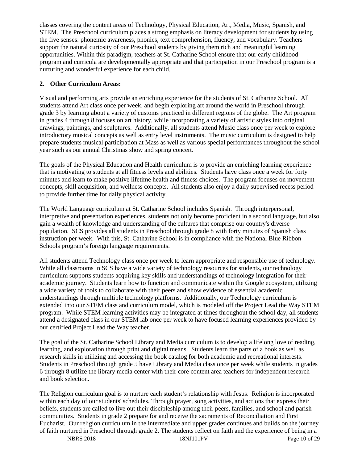classes covering the content areas of Technology, Physical Education, Art, Media, Music, Spanish, and STEM. The Preschool curriculum places a strong emphasis on literacy development for students by using the five senses: phonemic awareness, phonics, text comprehension, fluency, and vocabulary. Teachers support the natural curiosity of our Preschool students by giving them rich and meaningful learning opportunities. Within this paradigm, teachers at St. Catharine School ensure that our early childhood program and curricula are developmentally appropriate and that participation in our Preschool program is a nurturing and wonderful experience for each child.

#### **2. Other Curriculum Areas:**

Visual and performing arts provide an enriching experience for the students of St. Catharine School. All students attend Art class once per week, and begin exploring art around the world in Preschool through grade 3 by learning about a variety of customs practiced in different regions of the globe. The Art program in grades 4 through 8 focuses on art history, while incorporating a variety of artistic styles into original drawings, paintings, and sculptures. Additionally, all students attend Music class once per week to explore introductory musical concepts as well as entry level instruments. The music curriculum is designed to help prepare students musical participation at Mass as well as various special performances throughout the school year such as our annual Christmas show and spring concert.

The goals of the Physical Education and Health curriculum is to provide an enriching learning experience that is motivating to students at all fitness levels and abilities. Students have class once a week for forty minutes and learn to make positive lifetime health and fitness choices. The program focuses on movement concepts, skill acquisition, and wellness concepts. All students also enjoy a daily supervised recess period to provide further time for daily physical activity.

The World Language curriculum at St. Catharine School includes Spanish. Through interpersonal, interpretive and presentation experiences, students not only become proficient in a second language, but also gain a wealth of knowledge and understanding of the cultures that comprise our country's diverse population. SCS provides all students in Preschool through grade 8 with forty minutes of Spanish class instruction per week. With this, St. Catharine School is in compliance with the National Blue Ribbon Schools program's foreign language requirements.

All students attend Technology class once per week to learn appropriate and responsible use of technology. While all classrooms in SCS have a wide variety of technology resources for students, our technology curriculum supports students acquiring key skills and understandings of technology integration for their academic journey. Students learn how to function and communicate within the Google ecosystem, utilizing a wide variety of tools to collaborate with their peers and show evidence of essential academic understandings through multiple technology platforms. Additionally, our Technology curriculum is extended into our STEM class and curriculum model, which is modeled off the Project Lead the Way STEM program. While STEM learning activities may be integrated at times throughout the school day, all students attend a designated class in our STEM lab once per week to have focused learning experiences provided by our certified Project Lead the Way teacher.

The goal of the St. Catharine School Library and Media curriculum is to develop a lifelong love of reading, learning, and exploration through print and digital means. Students learn the parts of a book as well as research skills in utilizing and accessing the book catalog for both academic and recreational interests. Students in Preschool through grade 5 have Library and Media class once per week while students in grades 6 through 8 utilize the library media center with their core content area teachers for independent research and book selection.

The Religion curriculum goal is to nurture each student's relationship with Jesus. Religion is incorporated within each day of our students' schedules. Through prayer, song activities, and actions that express their beliefs, students are called to live out their discipleship among their peers, families, and school and parish communities. Students in grade 2 prepare for and receive the sacraments of Reconciliation and First Eucharist. Our religion curriculum in the intermediate and upper grades continues and builds on the journey of faith nurtured in Preschool through grade 2. The students reflect on faith and the experience of being in a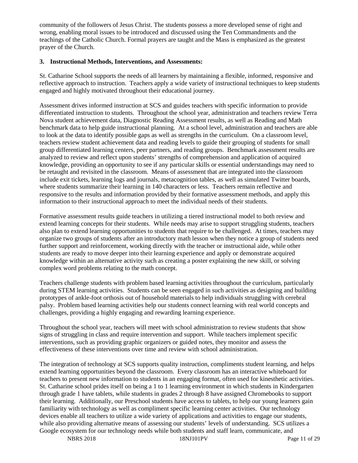community of the followers of Jesus Christ. The students possess a more developed sense of right and wrong, enabling moral issues to be introduced and discussed using the Ten Commandments and the teachings of the Catholic Church. Formal prayers are taught and the Mass is emphasized as the greatest prayer of the Church.

#### **3. Instructional Methods, Interventions, and Assessments:**

St. Catharine School supports the needs of all learners by maintaining a flexible, informed, responsive and reflective approach to instruction. Teachers apply a wide variety of instructional techniques to keep students engaged and highly motivated throughout their educational journey.

Assessment drives informed instruction at SCS and guides teachers with specific information to provide differentiated instruction to students. Throughout the school year, administration and teachers review Terra Nova student achievement data, Diagnostic Reading Assessment results, as well as Reading and Math benchmark data to help guide instructional planning. At a school level, administration and teachers are able to look at the data to identify possible gaps as well as strengths in the curriculum. On a classroom level, teachers review student achievement data and reading levels to guide their grouping of students for small group differentiated learning centers, peer partners, and reading groups. Benchmark assessment results are analyzed to review and reflect upon students' strengths of comprehension and application of acquired knowledge, providing an opportunity to see if any particular skills or essential understandings may need to be retaught and revisited in the classroom. Means of assessment that are integrated into the classroom include exit tickets, learning logs and journals, metacognition tables, as well as simulated Twitter boards, where students summarize their learning in 140 characters or less. Teachers remain reflective and responsive to the results and information provided by their formative assessment methods, and apply this information to their instructional approach to meet the individual needs of their students.

Formative assessment results guide teachers in utilizing a tiered instructional model to both review and extend learning concepts for their students. While needs may arise to support struggling students, teachers also plan to extend learning opportunities to students that require to be challenged. At times, teachers may organize two groups of students after an introductory math lesson when they notice a group of students need further support and reinforcement, working directly with the teacher or instructional aide, while other students are ready to move deeper into their learning experience and apply or demonstrate acquired knowledge within an alternative activity such as creating a poster explaining the new skill, or solving complex word problems relating to the math concept.

Teachers challenge students with problem based learning activities throughout the curriculum, particularly during STEM learning activities. Students can be seen engaged in such activities as designing and building prototypes of ankle-foot orthosis out of household materials to help individuals struggling with cerebral palsy. Problem based learning activities help our students connect learning with real world concepts and challenges, providing a highly engaging and rewarding learning experience.

Throughout the school year, teachers will meet with school administration to review students that show signs of struggling in class and require intervention and support. While teachers implement specific interventions, such as providing graphic organizers or guided notes, they monitor and assess the effectiveness of these interventions over time and review with school administration.

The integration of technology at SCS supports quality instruction, compliments student learning, and helps extend learning opportunities beyond the classroom. Every classroom has an interactive whiteboard for teachers to present new information to students in an engaging format, often used for kinesthetic activities. St. Catharine school prides itself on being a 1 to 1 learning environment in which students in Kindergarten through grade 1 have tablets, while students in grades 2 through 8 have assigned Chromebooks to support their learning. Additionally, our Preschool students have access to tablets, to help our young learners gain familiarity with technology as well as compliment specific learning center activities. Our technology devices enable all teachers to utilize a wide variety of applications and activities to engage our students, while also providing alternative means of assessing our students' levels of understanding. SCS utilizes a Google ecosystem for our technology needs while both students and staff learn, communicate, and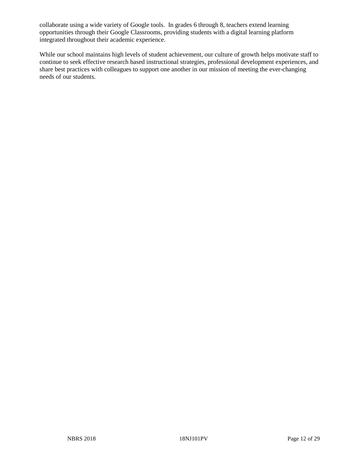collaborate using a wide variety of Google tools. In grades 6 through 8, teachers extend learning opportunities through their Google Classrooms, providing students with a digital learning platform integrated throughout their academic experience.

While our school maintains high levels of student achievement, our culture of growth helps motivate staff to continue to seek effective research based instructional strategies, professional development experiences, and share best practices with colleagues to support one another in our mission of meeting the ever-changing needs of our students.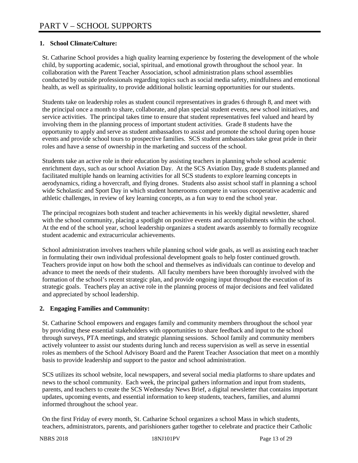## **1. School Climate/Culture:**

St. Catharine School provides a high quality learning experience by fostering the development of the whole child, by supporting academic, social, spiritual, and emotional growth throughout the school year. In collaboration with the Parent Teacher Association, school administration plans school assemblies conducted by outside professionals regarding topics such as social media safety, mindfulness and emotional health, as well as spirituality, to provide additional holistic learning opportunities for our students.

Students take on leadership roles as student council representatives in grades 6 through 8, and meet with the principal once a month to share, collaborate, and plan special student events, new school initiatives, and service activities. The principal takes time to ensure that student representatives feel valued and heard by involving them in the planning process of important student activities. Grade 8 students have the opportunity to apply and serve as student ambassadors to assist and promote the school during open house events and provide school tours to prospective families. SCS student ambassadors take great pride in their roles and have a sense of ownership in the marketing and success of the school.

Students take an active role in their education by assisting teachers in planning whole school academic enrichment days, such as our school Aviation Day. At the SCS Aviation Day, grade 8 students planned and facilitated multiple hands on learning activities for all SCS students to explore learning concepts in aerodynamics, riding a hovercraft, and flying drones. Students also assist school staff in planning a school wide Scholastic and Sport Day in which student homerooms compete in various cooperative academic and athletic challenges, in review of key learning concepts, as a fun way to end the school year.

The principal recognizes both student and teacher achievements in his weekly digital newsletter, shared with the school community, placing a spotlight on positive events and accomplishments within the school. At the end of the school year, school leadership organizes a student awards assembly to formally recognize student academic and extracurricular achievements.

School administration involves teachers while planning school wide goals, as well as assisting each teacher in formulating their own individual professional development goals to help foster continued growth. Teachers provide input on how both the school and themselves as individuals can continue to develop and advance to meet the needs of their students. All faculty members have been thoroughly involved with the formation of the school's recent strategic plan, and provide ongoing input throughout the execution of its strategic goals. Teachers play an active role in the planning process of major decisions and feel validated and appreciated by school leadership.

## **2. Engaging Families and Community:**

St. Catharine School empowers and engages family and community members throughout the school year by providing these essential stakeholders with opportunities to share feedback and input to the school through surveys, PTA meetings, and strategic planning sessions. School family and community members actively volunteer to assist our students during lunch and recess supervision as well as serve in essential roles as members of the School Advisory Board and the Parent Teacher Association that meet on a monthly basis to provide leadership and support to the pastor and school administration.

SCS utilizes its school website, local newspapers, and several social media platforms to share updates and news to the school community. Each week, the principal gathers information and input from students, parents, and teachers to create the SCS Wednesday News Brief, a digital newsletter that contains important updates, upcoming events, and essential information to keep students, teachers, families, and alumni informed throughout the school year.

On the first Friday of every month, St. Catharine School organizes a school Mass in which students, teachers, administrators, parents, and parishioners gather together to celebrate and practice their Catholic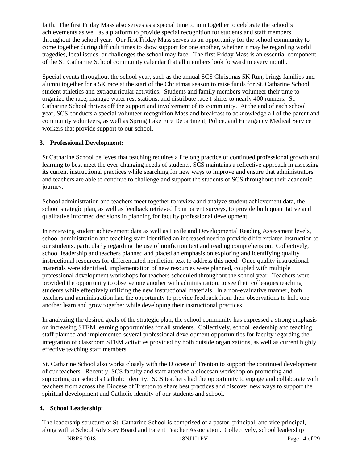faith. The first Friday Mass also serves as a special time to join together to celebrate the school's achievements as well as a platform to provide special recognition for students and staff members throughout the school year. Our first Friday Mass serves as an opportunity for the school community to come together during difficult times to show support for one another, whether it may be regarding world tragedies, local issues, or challenges the school may face. The first Friday Mass is an essential component of the St. Catharine School community calendar that all members look forward to every month.

Special events throughout the school year, such as the annual SCS Christmas 5K Run, brings families and alumni together for a 5K race at the start of the Christmas season to raise funds for St. Catharine School student athletics and extracurricular activities. Students and family members volunteer their time to organize the race, manage water rest stations, and distribute race t-shirts to nearly 400 runners. St. Catharine School thrives off the support and involvement of its community. At the end of each school year, SCS conducts a special volunteer recognition Mass and breakfast to acknowledge all of the parent and community volunteers, as well as Spring Lake Fire Department, Police, and Emergency Medical Service workers that provide support to our school.

#### **3. Professional Development:**

St Catharine School believes that teaching requires a lifelong practice of continued professional growth and learning to best meet the ever-changing needs of students. SCS maintains a reflective approach in assessing its current instructional practices while searching for new ways to improve and ensure that administrators and teachers are able to continue to challenge and support the students of SCS throughout their academic journey.

School administration and teachers meet together to review and analyze student achievement data, the school strategic plan, as well as feedback retrieved from parent surveys, to provide both quantitative and qualitative informed decisions in planning for faculty professional development.

In reviewing student achievement data as well as Lexile and Developmental Reading Assessment levels, school administration and teaching staff identified an increased need to provide differentiated instruction to our students, particularly regarding the use of nonfiction text and reading comprehension. Collectively, school leadership and teachers planned and placed an emphasis on exploring and identifying quality instructional resources for differentiated nonfiction text to address this need. Once quality instructional materials were identified, implementation of new resources were planned, coupled with multiple professional development workshops for teachers scheduled throughout the school year. Teachers were provided the opportunity to observe one another with administration, to see their colleagues teaching students while effectively utilizing the new instructional materials. In a non-evaluative manner, both teachers and administration had the opportunity to provide feedback from their observations to help one another learn and grow together while developing their instructional practices.

In analyzing the desired goals of the strategic plan, the school community has expressed a strong emphasis on increasing STEM learning opportunities for all students. Collectively, school leadership and teaching staff planned and implemented several professional development opportunities for faculty regarding the integration of classroom STEM activities provided by both outside organizations, as well as current highly effective teaching staff members.

St. Catharine School also works closely with the Diocese of Trenton to support the continued development of our teachers. Recently, SCS faculty and staff attended a diocesan workshop on promoting and supporting our school's Catholic Identity. SCS teachers had the opportunity to engage and collaborate with teachers from across the Diocese of Trenton to share best practices and discover new ways to support the spiritual development and Catholic identity of our students and school.

#### **4. School Leadership:**

The leadership structure of St. Catharine School is comprised of a pastor, principal, and vice principal, along with a School Advisory Board and Parent Teacher Association. Collectively, school leadership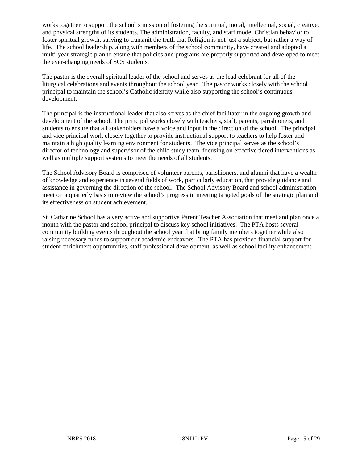works together to support the school's mission of fostering the spiritual, moral, intellectual, social, creative, and physical strengths of its students. The administration, faculty, and staff model Christian behavior to foster spiritual growth, striving to transmit the truth that Religion is not just a subject, but rather a way of life. The school leadership, along with members of the school community, have created and adopted a multi-year strategic plan to ensure that policies and programs are properly supported and developed to meet the ever-changing needs of SCS students.

The pastor is the overall spiritual leader of the school and serves as the lead celebrant for all of the liturgical celebrations and events throughout the school year. The pastor works closely with the school principal to maintain the school's Catholic identity while also supporting the school's continuous development.

The principal is the instructional leader that also serves as the chief facilitator in the ongoing growth and development of the school. The principal works closely with teachers, staff, parents, parishioners, and students to ensure that all stakeholders have a voice and input in the direction of the school. The principal and vice principal work closely together to provide instructional support to teachers to help foster and maintain a high quality learning environment for students. The vice principal serves as the school's director of technology and supervisor of the child study team, focusing on effective tiered interventions as well as multiple support systems to meet the needs of all students.

The School Advisory Board is comprised of volunteer parents, parishioners, and alumni that have a wealth of knowledge and experience in several fields of work, particularly education, that provide guidance and assistance in governing the direction of the school. The School Advisory Board and school administration meet on a quarterly basis to review the school's progress in meeting targeted goals of the strategic plan and its effectiveness on student achievement.

St. Catharine School has a very active and supportive Parent Teacher Association that meet and plan once a month with the pastor and school principal to discuss key school initiatives. The PTA hosts several community building events throughout the school year that bring family members together while also raising necessary funds to support our academic endeavors. The PTA has provided financial support for student enrichment opportunities, staff professional development, as well as school facility enhancement.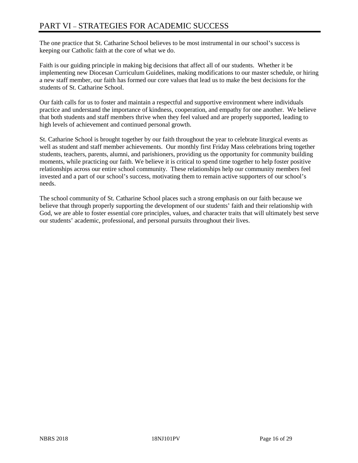# PART VI – STRATEGIES FOR ACADEMIC SUCCESS

The one practice that St. Catharine School believes to be most instrumental in our school's success is keeping our Catholic faith at the core of what we do.

Faith is our guiding principle in making big decisions that affect all of our students. Whether it be implementing new Diocesan Curriculum Guidelines, making modifications to our master schedule, or hiring a new staff member, our faith has formed our core values that lead us to make the best decisions for the students of St. Catharine School.

Our faith calls for us to foster and maintain a respectful and supportive environment where individuals practice and understand the importance of kindness, cooperation, and empathy for one another. We believe that both students and staff members thrive when they feel valued and are properly supported, leading to high levels of achievement and continued personal growth.

St. Catharine School is brought together by our faith throughout the year to celebrate liturgical events as well as student and staff member achievements. Our monthly first Friday Mass celebrations bring together students, teachers, parents, alumni, and parishioners, providing us the opportunity for community building moments, while practicing our faith. We believe it is critical to spend time together to help foster positive relationships across our entire school community. These relationships help our community members feel invested and a part of our school's success, motivating them to remain active supporters of our school's needs.

The school community of St. Catharine School places such a strong emphasis on our faith because we believe that through properly supporting the development of our students' faith and their relationship with God, we are able to foster essential core principles, values, and character traits that will ultimately best serve our students' academic, professional, and personal pursuits throughout their lives.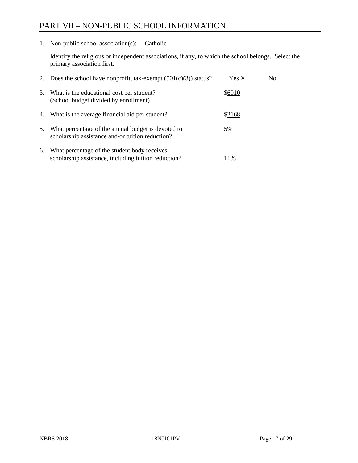# PART VII – NON-PUBLIC SCHOOL INFORMATION

1. Non-public school association(s): Catholic

Identify the religious or independent associations, if any, to which the school belongs. Select the primary association first.

| 2. | Does the school have nonprofit, tax-exempt $(501(c)(3))$ status?                                       | Yes X  | No. |
|----|--------------------------------------------------------------------------------------------------------|--------|-----|
| 3. | What is the educational cost per student?<br>(School budget divided by enrollment)                     | \$6910 |     |
|    | 4. What is the average financial aid per student?                                                      | \$2168 |     |
| 5. | What percentage of the annual budget is devoted to<br>scholarship assistance and/or tuition reduction? | 5%     |     |
| 6. | What percentage of the student body receives<br>scholarship assistance, including tuition reduction?   | 11%    |     |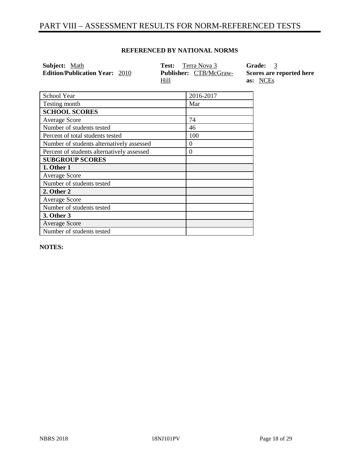## PART VIII – ASSESSMENT RESULTS FOR NORM-REFERENCED TESTS

| <b>Subject:</b> Math                  | <b>Test:</b> Terra Nova 3             | Grade: 3                             |
|---------------------------------------|---------------------------------------|--------------------------------------|
| <b>Edition/Publication Year: 2010</b> | <b>Publisher:</b> CTB/McGraw-<br>Hill | Scores are reported here<br>as: NCEs |
|                                       |                                       |                                      |

#### **REFERENCED BY NATIONAL NORMS**

| School Year                                | 2016-2017 |
|--------------------------------------------|-----------|
| Testing month                              | Mar       |
| <b>SCHOOL SCORES</b>                       |           |
| <b>Average Score</b>                       | 74        |
| Number of students tested                  | 46        |
| Percent of total students tested           | 100       |
| Number of students alternatively assessed  | $\theta$  |
| Percent of students alternatively assessed | $\theta$  |
| <b>SUBGROUP SCORES</b>                     |           |
| 1. Other 1                                 |           |
| <b>Average Score</b>                       |           |
| Number of students tested                  |           |
| 2. Other 2                                 |           |
| <b>Average Score</b>                       |           |
| Number of students tested                  |           |
| 3. Other 3                                 |           |
| <b>Average Score</b>                       |           |
| Number of students tested                  |           |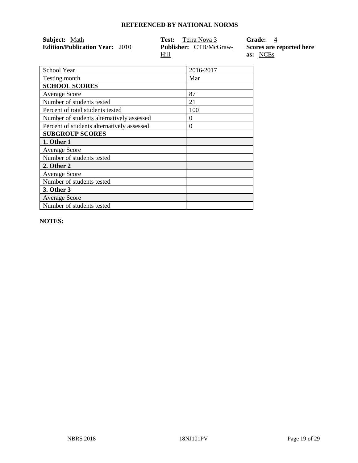| <b>Subject:</b> Math                  | <b>Test:</b> Terra Nova 3     | Grade: 4                 |
|---------------------------------------|-------------------------------|--------------------------|
| <b>Edition/Publication Year: 2010</b> | <b>Publisher:</b> CTB/McGraw- | Scores are reported here |
|                                       | Hill                          | as: NCEs                 |

| School Year                                | 2016-2017 |
|--------------------------------------------|-----------|
| Testing month                              | Mar       |
| <b>SCHOOL SCORES</b>                       |           |
| <b>Average Score</b>                       | 87        |
| Number of students tested                  | 21        |
| Percent of total students tested           | 100       |
| Number of students alternatively assessed  | $\theta$  |
| Percent of students alternatively assessed | $\Omega$  |
| <b>SUBGROUP SCORES</b>                     |           |
| 1. Other 1                                 |           |
| <b>Average Score</b>                       |           |
| Number of students tested                  |           |
| 2. Other 2                                 |           |
| <b>Average Score</b>                       |           |
| Number of students tested                  |           |
| 3. Other 3                                 |           |
| <b>Average Score</b>                       |           |
| Number of students tested                  |           |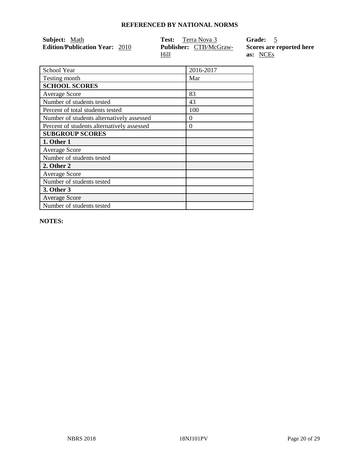| <b>Subject:</b> Math                  | <b>Test:</b> Terra Nova 3     | Grade: 5                 |
|---------------------------------------|-------------------------------|--------------------------|
| <b>Edition/Publication Year: 2010</b> | <b>Publisher:</b> CTB/McGraw- | Scores are reported here |
|                                       | Hill                          | as: NCEs                 |

| School Year                                | 2016-2017 |
|--------------------------------------------|-----------|
| Testing month                              | Mar       |
| <b>SCHOOL SCORES</b>                       |           |
| <b>Average Score</b>                       | 83        |
| Number of students tested                  | 43        |
| Percent of total students tested           | 100       |
| Number of students alternatively assessed  | $\Omega$  |
| Percent of students alternatively assessed | 0         |
| <b>SUBGROUP SCORES</b>                     |           |
| 1. Other 1                                 |           |
| <b>Average Score</b>                       |           |
| Number of students tested                  |           |
| 2. Other 2                                 |           |
| <b>Average Score</b>                       |           |
| Number of students tested                  |           |
| 3. Other 3                                 |           |
| <b>Average Score</b>                       |           |
| Number of students tested                  |           |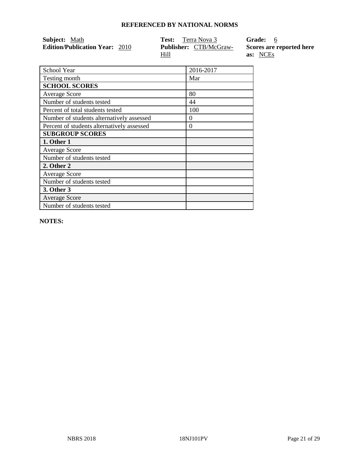| Subject: <u>Math</u>                  | <b>Test:</b> Terra Nova 3     | Grade: 6                 |
|---------------------------------------|-------------------------------|--------------------------|
| <b>Edition/Publication Year: 2010</b> | <b>Publisher:</b> CTB/McGraw- | Scores are reported here |
|                                       | Hill                          | as: NCEs                 |

| School Year                                | 2016-2017 |
|--------------------------------------------|-----------|
| Testing month                              | Mar       |
| <b>SCHOOL SCORES</b>                       |           |
| <b>Average Score</b>                       | 80        |
| Number of students tested                  | 44        |
| Percent of total students tested           | 100       |
| Number of students alternatively assessed  | $\theta$  |
| Percent of students alternatively assessed | 0         |
| <b>SUBGROUP SCORES</b>                     |           |
| 1. Other 1                                 |           |
| <b>Average Score</b>                       |           |
| Number of students tested                  |           |
| 2. Other 2                                 |           |
| <b>Average Score</b>                       |           |
| Number of students tested                  |           |
| 3. Other 3                                 |           |
| <b>Average Score</b>                       |           |
| Number of students tested                  |           |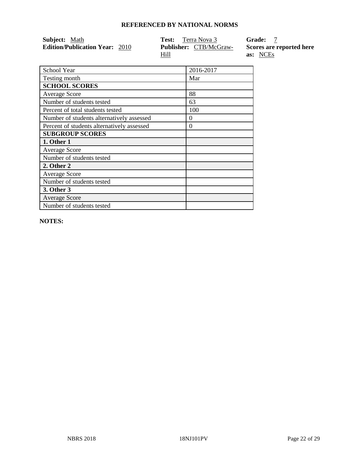| Subject: <u>Math</u>                  | <b>Test:</b> Terra Nova 3     | Grade:                   |
|---------------------------------------|-------------------------------|--------------------------|
| <b>Edition/Publication Year: 2010</b> | <b>Publisher:</b> CTB/McGraw- | Scores are reported here |
|                                       | Hill                          | as: NCEs                 |

| School Year                                | 2016-2017 |
|--------------------------------------------|-----------|
| Testing month                              | Mar       |
| <b>SCHOOL SCORES</b>                       |           |
| <b>Average Score</b>                       | 88        |
| Number of students tested                  | 63        |
| Percent of total students tested           | 100       |
| Number of students alternatively assessed  | $\theta$  |
| Percent of students alternatively assessed | 0         |
| <b>SUBGROUP SCORES</b>                     |           |
| 1. Other 1                                 |           |
| <b>Average Score</b>                       |           |
| Number of students tested                  |           |
| 2. Other 2                                 |           |
| <b>Average Score</b>                       |           |
| Number of students tested                  |           |
| 3. Other 3                                 |           |
| <b>Average Score</b>                       |           |
| Number of students tested                  |           |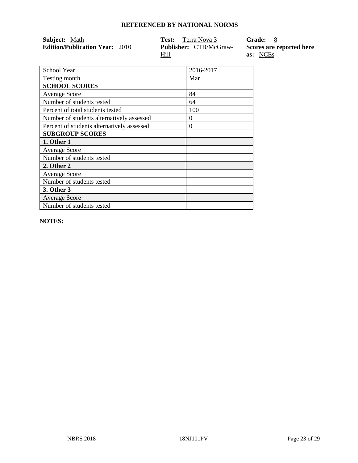| <b>Subject:</b> Math                  | <b>Test:</b> Terra Nova 3     | Grade: 8                 |
|---------------------------------------|-------------------------------|--------------------------|
| <b>Edition/Publication Year: 2010</b> | <b>Publisher:</b> CTB/McGraw- | Scores are reported here |
|                                       | Hill                          | as: NCEs                 |

| School Year                                | 2016-2017 |
|--------------------------------------------|-----------|
| Testing month                              | Mar       |
| <b>SCHOOL SCORES</b>                       |           |
| <b>Average Score</b>                       | 84        |
| Number of students tested                  | 64        |
| Percent of total students tested           | 100       |
| Number of students alternatively assessed  | $\Omega$  |
| Percent of students alternatively assessed | $\Omega$  |
| <b>SUBGROUP SCORES</b>                     |           |
| 1. Other 1                                 |           |
| <b>Average Score</b>                       |           |
| Number of students tested                  |           |
| 2. Other 2                                 |           |
| <b>Average Score</b>                       |           |
| Number of students tested                  |           |
| 3. Other 3                                 |           |
| <b>Average Score</b>                       |           |
| Number of students tested                  |           |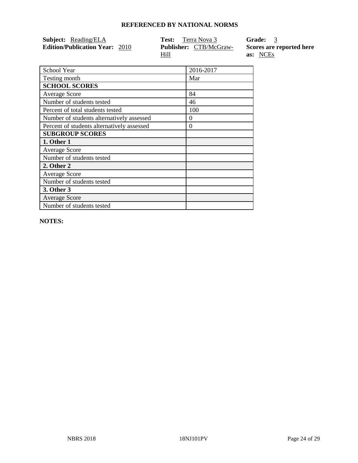| Subject: Reading/ELA                  | <b>Test:</b> Terra Nova 3     | Grade: 3                 |
|---------------------------------------|-------------------------------|--------------------------|
| <b>Edition/Publication Year: 2010</b> | <b>Publisher:</b> CTB/McGraw- | Scores are reported here |
|                                       | <u>Hill</u>                   | as: NCEs                 |

| School Year                                | 2016-2017 |
|--------------------------------------------|-----------|
| Testing month                              | Mar       |
| <b>SCHOOL SCORES</b>                       |           |
| <b>Average Score</b>                       | 84        |
| Number of students tested                  | 46        |
| Percent of total students tested           | 100       |
| Number of students alternatively assessed  | $\theta$  |
| Percent of students alternatively assessed | $\Omega$  |
| <b>SUBGROUP SCORES</b>                     |           |
| 1. Other 1                                 |           |
| <b>Average Score</b>                       |           |
| Number of students tested                  |           |
| 2. Other 2                                 |           |
| <b>Average Score</b>                       |           |
| Number of students tested                  |           |
| 3. Other 3                                 |           |
| <b>Average Score</b>                       |           |
| Number of students tested                  |           |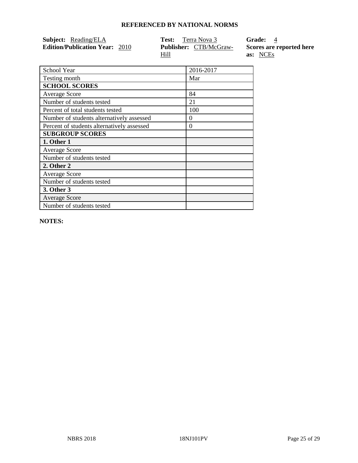| <b>Subject:</b> Reading/ELA           | <b>Test:</b> Terra Nova 3                    | Grade: 4                             |
|---------------------------------------|----------------------------------------------|--------------------------------------|
| <b>Edition/Publication Year: 2010</b> | <b>Publisher:</b> CTB/McGraw-<br><u>Hill</u> | Scores are reported here<br>as: NCEs |

| School Year                                | 2016-2017 |
|--------------------------------------------|-----------|
| Testing month                              | Mar       |
| <b>SCHOOL SCORES</b>                       |           |
| <b>Average Score</b>                       | 84        |
| Number of students tested                  | 21        |
| Percent of total students tested           | 100       |
| Number of students alternatively assessed  | 0         |
| Percent of students alternatively assessed | 0         |
| <b>SUBGROUP SCORES</b>                     |           |
| 1. Other 1                                 |           |
| <b>Average Score</b>                       |           |
| Number of students tested                  |           |
| 2. Other 2                                 |           |
| <b>Average Score</b>                       |           |
| Number of students tested                  |           |
| 3. Other 3                                 |           |
| <b>Average Score</b>                       |           |
| Number of students tested                  |           |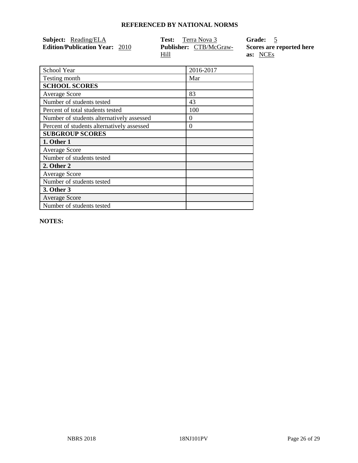| Subject: Reading/ELA                  | <b>Test:</b> Terra Nova 3     | Grade: 5                 |
|---------------------------------------|-------------------------------|--------------------------|
| <b>Edition/Publication Year: 2010</b> | <b>Publisher:</b> CTB/McGraw- | Scores are reported here |
|                                       | Hill                          | as: NCEs                 |

| School Year                                | 2016-2017 |
|--------------------------------------------|-----------|
| Testing month                              | Mar       |
| <b>SCHOOL SCORES</b>                       |           |
| <b>Average Score</b>                       | 83        |
| Number of students tested                  | 43        |
| Percent of total students tested           | 100       |
| Number of students alternatively assessed  | $\theta$  |
| Percent of students alternatively assessed | $\Omega$  |
| <b>SUBGROUP SCORES</b>                     |           |
| 1. Other 1                                 |           |
| <b>Average Score</b>                       |           |
| Number of students tested                  |           |
| 2. Other 2                                 |           |
| <b>Average Score</b>                       |           |
| Number of students tested                  |           |
| 3. Other 3                                 |           |
| <b>Average Score</b>                       |           |
| Number of students tested                  |           |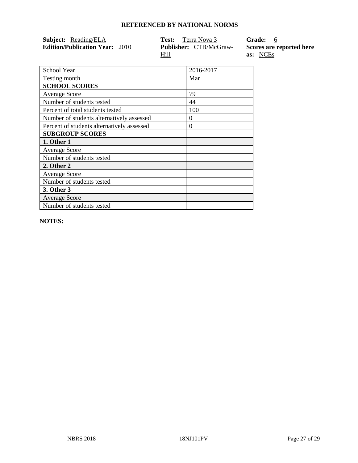| <b>Subject:</b> Reading/ELA           | <b>Test:</b> Terra Nova 3             | Grade: 6                             |
|---------------------------------------|---------------------------------------|--------------------------------------|
| <b>Edition/Publication Year: 2010</b> | <b>Publisher:</b> CTB/McGraw-<br>Hill | Scores are reported here<br>as: NCEs |

| School Year                                | 2016-2017 |
|--------------------------------------------|-----------|
| Testing month                              | Mar       |
| <b>SCHOOL SCORES</b>                       |           |
| <b>Average Score</b>                       | 79        |
| Number of students tested                  | 44        |
| Percent of total students tested           | 100       |
| Number of students alternatively assessed  | $\theta$  |
| Percent of students alternatively assessed | $\Omega$  |
| <b>SUBGROUP SCORES</b>                     |           |
| 1. Other 1                                 |           |
| <b>Average Score</b>                       |           |
| Number of students tested                  |           |
| 2. Other 2                                 |           |
| <b>Average Score</b>                       |           |
| Number of students tested                  |           |
| 3. Other 3                                 |           |
| <b>Average Score</b>                       |           |
| Number of students tested                  |           |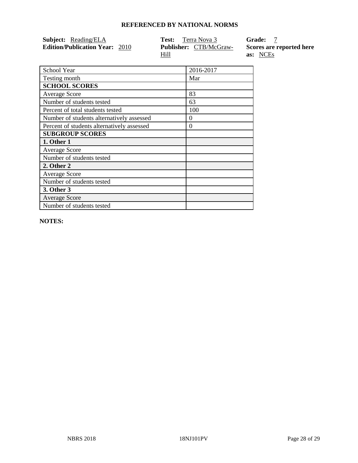| Subject: Reading/ELA                  | <b>Test:</b> Terra Nova 3     | Grade:                   |
|---------------------------------------|-------------------------------|--------------------------|
| <b>Edition/Publication Year: 2010</b> | <b>Publisher:</b> CTB/McGraw- | Scores are reported here |
|                                       | <u>Hill</u>                   | as: NCEs                 |

| School Year                                | 2016-2017 |
|--------------------------------------------|-----------|
| Testing month                              | Mar       |
| <b>SCHOOL SCORES</b>                       |           |
| <b>Average Score</b>                       | 83        |
| Number of students tested                  | 63        |
| Percent of total students tested           | 100       |
| Number of students alternatively assessed  | $\theta$  |
| Percent of students alternatively assessed | $\theta$  |
| <b>SUBGROUP SCORES</b>                     |           |
| 1. Other 1                                 |           |
| <b>Average Score</b>                       |           |
| Number of students tested                  |           |
| 2. Other 2                                 |           |
| <b>Average Score</b>                       |           |
| Number of students tested                  |           |
| 3. Other 3                                 |           |
| <b>Average Score</b>                       |           |
| Number of students tested                  |           |